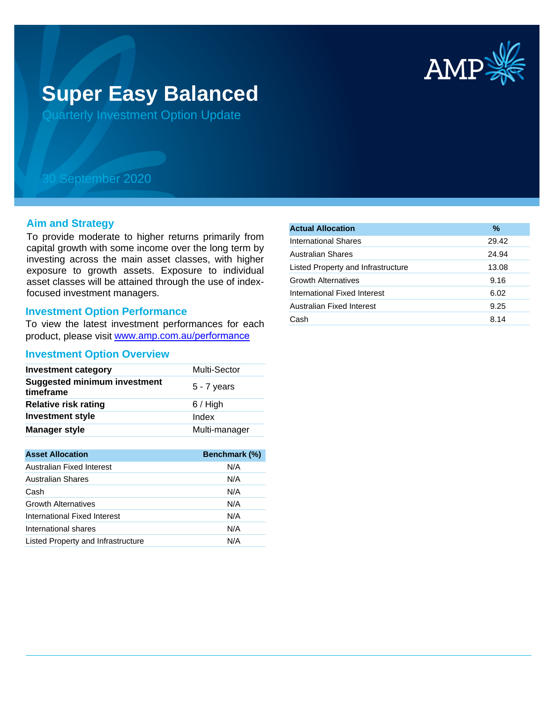

# **Super Easy Balanced**

Quarterly Investment Option Update

## 30 September 2020

#### **Aim and Strategy**

To provide moderate to higher returns primarily from capital growth with some income over the long term by investing across the main asset classes, with higher exposure to growth assets. Exposure to individual asset classes will be attained through the use of indexfocused investment managers.

#### **Investment Option Performance**

To view the latest investment performances for each product, please visit www.amp.com.au/performance

### **Investment Option Overview**

| <b>Investment category</b>                       | Multi-Sector  |
|--------------------------------------------------|---------------|
| <b>Suggested minimum investment</b><br>timeframe | $5 - 7$ years |
| <b>Relative risk rating</b>                      | $6/$ High     |
| <b>Investment style</b>                          | Index         |
| <b>Manager style</b>                             | Multi-manager |

| <b>Asset Allocation</b>            | Benchmark (%) |
|------------------------------------|---------------|
| Australian Fixed Interest          | N/A           |
| Australian Shares                  | N/A           |
| Cash                               | N/A           |
| <b>Growth Alternatives</b>         | N/A           |
| International Fixed Interest       | N/A           |
| International shares               | N/A           |
| Listed Property and Infrastructure | N/A           |

| <b>Actual Allocation</b>           | %     |
|------------------------------------|-------|
| International Shares               | 29.42 |
| <b>Australian Shares</b>           | 24.94 |
| Listed Property and Infrastructure | 13.08 |
| <b>Growth Alternatives</b>         | 9.16  |
| International Fixed Interest       | 6.02  |
| Australian Fixed Interest          | 9.25  |
| Cash                               | 8.14  |